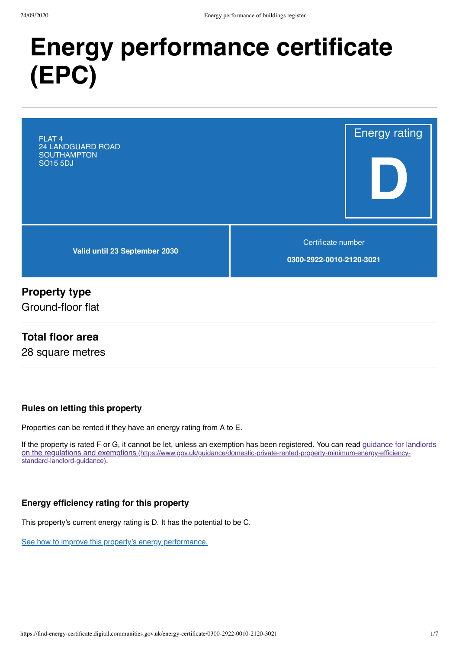# **Energy performance certificate** (EPC)



# **Property type**

Ground-floor flat

# **Total floor area**

28 square metres

### Rules on letting this property

Properties can be rented if they have an energy rating from A to E.

If the property is rated F or G, it cannot be let, unless an exemption has been registered. You can read guidance for landlords on the regulations and exemptions (https://www.gov.uk/guidance/domestic-private-rented-property-minimum-energy-efficiencystandard-landlord-guidance).

### Energy efficiency rating for this property

This property's current energy rating is D. It has the potential to be C.

See how to improve this property's energy performance.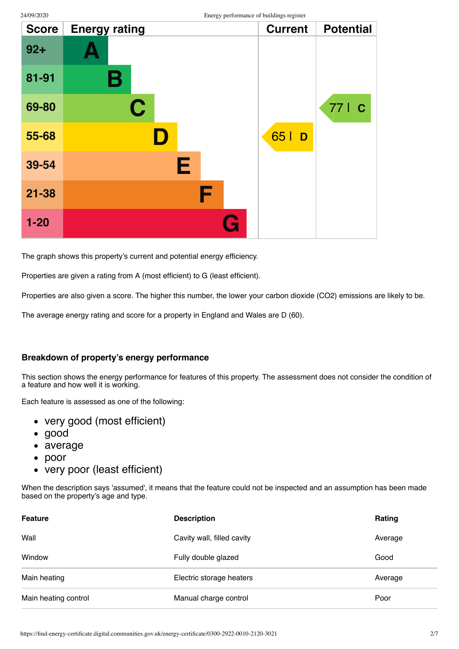| <b>Score</b> | <b>Energy rating</b> | <b>Current</b> | <b>Potential</b> |
|--------------|----------------------|----------------|------------------|
| $92 +$       |                      |                |                  |
| 81-91        | В                    |                |                  |
| 69-80        | $\mathbf C$          |                | 77   C           |
| 55-68        |                      | 65  <br>D      |                  |
| 39-54        | E                    |                |                  |
| $21 - 38$    | F                    |                |                  |
| $1 - 20$     |                      |                |                  |

The graph shows this property's current and potential energy efficiency.

Properties are given a rating from A (most efficient) to G (least efficient).

Properties are also given a score. The higher this number, the lower your carbon dioxide (CO2) emissions are likely to be.

The average energy rating and score for a property in England and Wales are D (60).

#### Breakdown of property's energy performance

This section shows the energy performance for features of this property. The assessment does not consider the condition of a feature and how well it is working.

Each feature is assessed as one of the following:

- very good (most efficient)
- $\bullet$  good
- average
- $\bullet$  poor
- very poor (least efficient)  $\bullet$

When the description says 'assumed', it means that the feature could not be inspected and an assumption has been made based on the property's age and type.

| <b>Feature</b>       | <b>Description</b>         | Rating  |
|----------------------|----------------------------|---------|
| Wall                 | Cavity wall, filled cavity | Average |
| Window               | Fully double glazed        | Good    |
| Main heating         | Electric storage heaters   | Average |
| Main heating control | Manual charge control      | Poor    |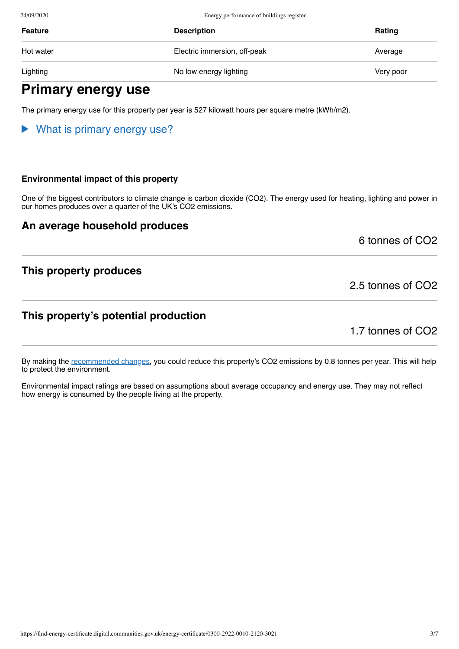24/09/2020 Energy performance of buildings register

| Feature   | <b>Description</b>           | Rating    |
|-----------|------------------------------|-----------|
| Hot water | Electric immersion, off-peak | Average   |
| Lighting  | No low energy lighting       | Very poor |

# Primary energy use

The primary energy use for this property per year is 527 kilowatt hours per square metre (kWh/m2).

#### $\blacktriangleright$ What is primary energy use?

#### Environmental impact of this property

One of the biggest contributors to climate change is carbon dioxide (CO2). The energy used for heating, lighting and power in our homes produces over a quarter of the UK's CO2 emissions.

### An average household produces

6 tonnes of CO2

## This property produces

### This property's potential production

1.7 tonnes of CO2

2.5 tonnes of CO2

By making the recommended changes, you could reduce this property's CO2 emissions by 0.8 tonnes per year. This will help to protect the environment.

Environmental impact ratings are based on assumptions about average occupancy and energy use. They may not reflect how energy is consumed by the people living at the property.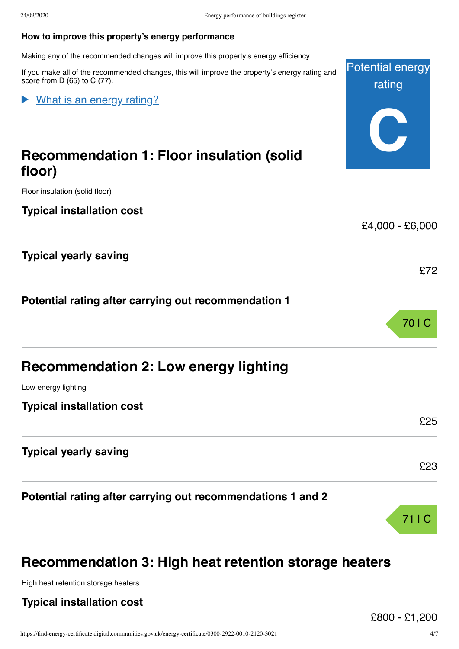#### How to improve this property's energy performance

Making any of the recommended changes will improve this property's energy efficiency.

If you make all of the recommended changes, this will improve the property's energy rating and score from D (65) to C (77).

| Mhat is an energy rating?                                   | Tauriy          |
|-------------------------------------------------------------|-----------------|
| <b>Recommendation 1: Floor insulation (solid</b><br>floor)  |                 |
| Floor insulation (solid floor)                              |                 |
| <b>Typical installation cost</b>                            | £4,000 - £6,000 |
| <b>Typical yearly saving</b>                                | £72             |
| Potential rating after carrying out recommendation 1        |                 |
|                                                             | 70   C          |
| <b>Recommendation 2: Low energy lighting</b>                |                 |
| Low energy lighting                                         |                 |
| <b>Typical installation cost</b>                            | £25             |
| <b>Typical yearly saving</b>                                | £23             |
| Potential rating after carrying out recommendations 1 and 2 |                 |
|                                                             | 71   C          |

# Recommendation 3: High heat retention storage heaters

High heat retention storage heaters

## Typical installation cost

Potential energy rating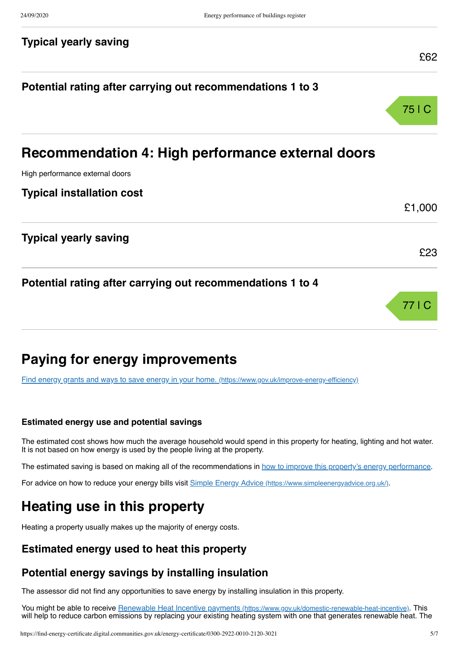### **Typical yearly saving**

# Potential rating after carrying out recommendations 1 to 3



£62

# Recommendation 4: High performance external doors

High performance external doors

**Typical installation cost** 

|                                                            | £1,000 |
|------------------------------------------------------------|--------|
| <b>Typical yearly saving</b>                               |        |
|                                                            | £23    |
| Potential rating after carrying out recommendations 1 to 4 |        |
|                                                            |        |

# **Paying for energy improvements**

Find energy grants and ways to save energy in your home. (https://www.gov.uk/improve-energy-efficiency)

#### Estimated energy use and potential savings

The estimated cost shows how much the average household would spend in this property for heating, lighting and hot water. It is not based on how energy is used by the people living at the property.

The estimated saving is based on making all of the recommendations in how to improve this property's energy performance.

For advice on how to reduce your energy bills visit Simple Energy Advice (https://www.simpleenergyadvice.org.uk/).

# Heating use in this property

Heating a property usually makes up the majority of energy costs.

# Estimated energy used to heat this property

### Potential energy savings by installing insulation

The assessor did not find any opportunities to save energy by installing insulation in this property.

You might be able to receive Renewable Heat Incentive payments (https://www.gov.uk/domestic-renewable-heat-incentive). This will help to reduce carbon emissions by replacing your existing heating system with one that generates renewable heat. The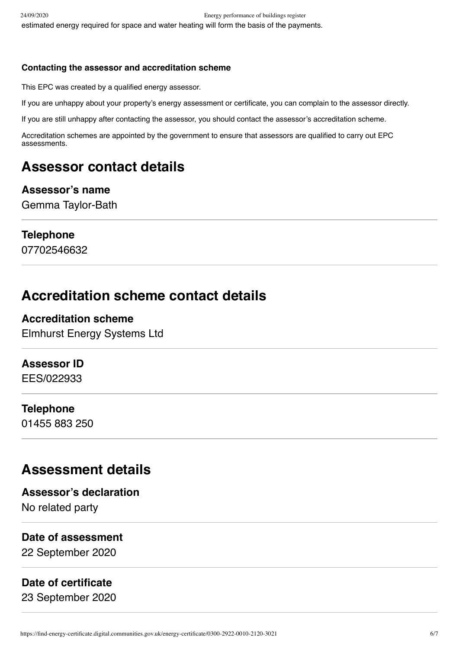### Contacting the assessor and accreditation scheme

This EPC was created by a qualified energy assessor.

If you are unhappy about your property's energy assessment or certificate, you can complain to the assessor directly.

If you are still unhappy after contacting the assessor, you should contact the assessor's accreditation scheme.

Accreditation schemes are appointed by the government to ensure that assessors are qualified to carry out EPC assessments.

# Assessor contact details

### Assessor's name

Gemma Taylor-Bath

# **Telephone**

07702546632

# **Accreditation scheme contact details**

# **Accreditation scheme**

**Elmhurst Energy Systems Ltd** 

# **Assessor ID**

EES/022933

# **Telephone**

01455 883 250

# **Assessment details**

# **Assessor's declaration**

No related party

# Date of assessment

22 September 2020

# Date of certificate

23 September 2020